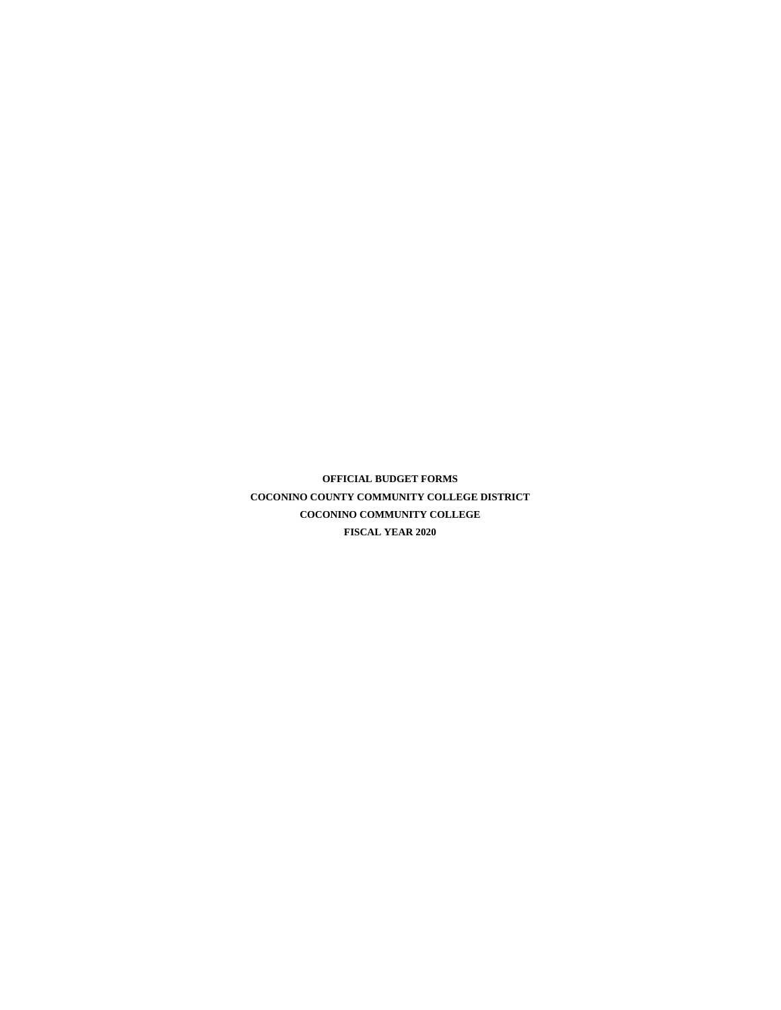**OFFICIAL BUDGET FORMS COCONINO COUNTY COMMUNITY COLLEGE DISTRICT COCONINO COMMUNITY COLLEGE FISCAL YEAR 2020**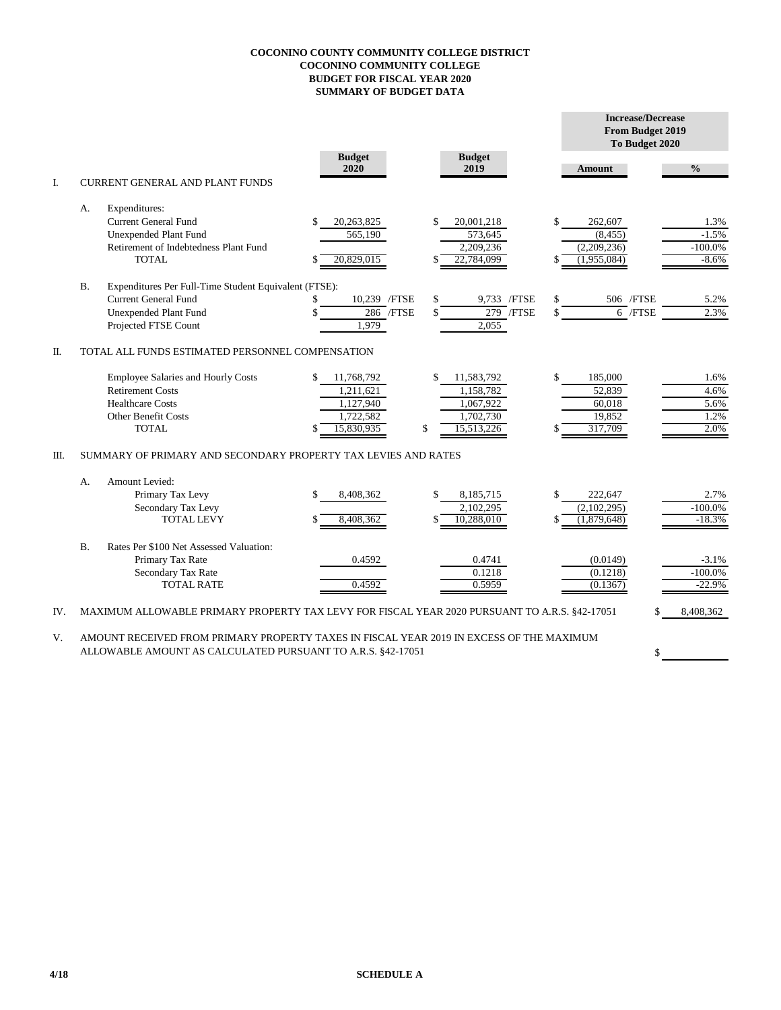## **COCONINO COUNTY COMMUNITY COLLEGE DISTRICT COCONINO COMMUNITY COLLEGE BUDGET FOR FISCAL YEAR 2020 SUMMARY OF BUDGET DATA**

|     |                                                                |                                                                                               |                       |                       |                  | <b>Increase/Decrease</b><br><b>From Budget 2019</b><br>To Budget 2020 |  |  |  |  |  |  |  |  |  |
|-----|----------------------------------------------------------------|-----------------------------------------------------------------------------------------------|-----------------------|-----------------------|------------------|-----------------------------------------------------------------------|--|--|--|--|--|--|--|--|--|
|     |                                                                |                                                                                               | <b>Budget</b><br>2020 | <b>Budget</b><br>2019 | <b>Amount</b>    | $\frac{0}{0}$                                                         |  |  |  |  |  |  |  |  |  |
| I.  |                                                                | <b>CURRENT GENERAL AND PLANT FUNDS</b>                                                        |                       |                       |                  |                                                                       |  |  |  |  |  |  |  |  |  |
|     | А.                                                             | Expenditures:                                                                                 |                       |                       |                  |                                                                       |  |  |  |  |  |  |  |  |  |
|     |                                                                | <b>Current General Fund</b>                                                                   | 20,263,825            | \$<br>20,001,218      | \$<br>262,607    | 1.3%                                                                  |  |  |  |  |  |  |  |  |  |
|     |                                                                | <b>Unexpended Plant Fund</b>                                                                  | 565,190               | 573,645               | (8, 455)         | $-1.5%$                                                               |  |  |  |  |  |  |  |  |  |
|     |                                                                | Retirement of Indebtedness Plant Fund                                                         |                       | 2,209,236             | (2,209,236)      | $-100.0%$                                                             |  |  |  |  |  |  |  |  |  |
|     |                                                                | <b>TOTAL</b>                                                                                  | 20,829,015            | 22,784,099            | (1,955,084)      | $-8.6%$                                                               |  |  |  |  |  |  |  |  |  |
|     | <b>B.</b>                                                      | Expenditures Per Full-Time Student Equivalent (FTSE):                                         |                       |                       |                  |                                                                       |  |  |  |  |  |  |  |  |  |
|     |                                                                | <b>Current General Fund</b>                                                                   | 10,239 / FTSE<br>S    | \$<br>9,733 /FTSE     | 506 / FTSE<br>\$ | 5.2%                                                                  |  |  |  |  |  |  |  |  |  |
|     |                                                                | Unexpended Plant Fund                                                                         | 286 / FTSE            | $279$ /FTSE<br>\$     | \$               | 2.3%<br>$6$ /FTSE                                                     |  |  |  |  |  |  |  |  |  |
|     |                                                                | Projected FTSE Count                                                                          | 1,979                 | 2,055                 |                  |                                                                       |  |  |  |  |  |  |  |  |  |
| Π.  | TOTAL ALL FUNDS ESTIMATED PERSONNEL COMPENSATION               |                                                                                               |                       |                       |                  |                                                                       |  |  |  |  |  |  |  |  |  |
|     |                                                                | <b>Employee Salaries and Hourly Costs</b>                                                     | 11,768,792<br>\$      | \$<br>11,583,792      | \$<br>185,000    | 1.6%                                                                  |  |  |  |  |  |  |  |  |  |
|     |                                                                | <b>Retirement Costs</b>                                                                       | 1,211,621             | 1,158,782             | 52.839           | 4.6%                                                                  |  |  |  |  |  |  |  |  |  |
|     |                                                                | <b>Healthcare Costs</b>                                                                       | 1,127,940             | 1,067,922             | 60,018           | 5.6%                                                                  |  |  |  |  |  |  |  |  |  |
|     |                                                                | <b>Other Benefit Costs</b>                                                                    | 1,722,582             | 1,702,730             | 19,852           | 1.2%                                                                  |  |  |  |  |  |  |  |  |  |
|     |                                                                | <b>TOTAL</b>                                                                                  | 15,830,935            | \$<br>15,513,226      | 317,709          | 2.0%                                                                  |  |  |  |  |  |  |  |  |  |
| Ш.  | SUMMARY OF PRIMARY AND SECONDARY PROPERTY TAX LEVIES AND RATES |                                                                                               |                       |                       |                  |                                                                       |  |  |  |  |  |  |  |  |  |
|     | А.                                                             | <b>Amount Levied:</b>                                                                         |                       |                       |                  |                                                                       |  |  |  |  |  |  |  |  |  |
|     |                                                                | Primary Tax Levy                                                                              | 8,408,362<br>\$       | \$<br>8,185,715       | \$<br>222,647    | 2.7%                                                                  |  |  |  |  |  |  |  |  |  |
|     |                                                                | Secondary Tax Levy                                                                            |                       | 2,102,295             | (2,102,295)      | $-100.0\%$                                                            |  |  |  |  |  |  |  |  |  |
|     |                                                                | <b>TOTAL LEVY</b>                                                                             | 8,408,362             | \$<br>10,288,010      | (1,879,648)      | $-18.3%$                                                              |  |  |  |  |  |  |  |  |  |
|     | <b>B.</b>                                                      | Rates Per \$100 Net Assessed Valuation:                                                       |                       |                       |                  |                                                                       |  |  |  |  |  |  |  |  |  |
|     |                                                                | Primary Tax Rate                                                                              | 0.4592                | 0.4741                | (0.0149)         | $-3.1%$                                                               |  |  |  |  |  |  |  |  |  |
|     |                                                                | Secondary Tax Rate                                                                            |                       | 0.1218                | (0.1218)         | $-100.0\%$                                                            |  |  |  |  |  |  |  |  |  |
|     |                                                                | <b>TOTAL RATE</b>                                                                             | 0.4592                | 0.5959                | (0.1367)         | $-22.9%$                                                              |  |  |  |  |  |  |  |  |  |
| IV. |                                                                | MAXIMUM ALLOWABLE PRIMARY PROPERTY TAX LEVY FOR FISCAL YEAR 2020 PURSUANT TO A.R.S. §42-17051 |                       |                       |                  | 8,408,362<br>\$.                                                      |  |  |  |  |  |  |  |  |  |

V. AMOUNT RECEIVED FROM PRIMARY PROPERTY TAXES IN FISCAL YEAR 2019 IN EXCESS OF THE MAXIMUM ALLOWABLE AMOUNT AS CALCULATED PURSUANT TO A.R.S. §42-17051 \$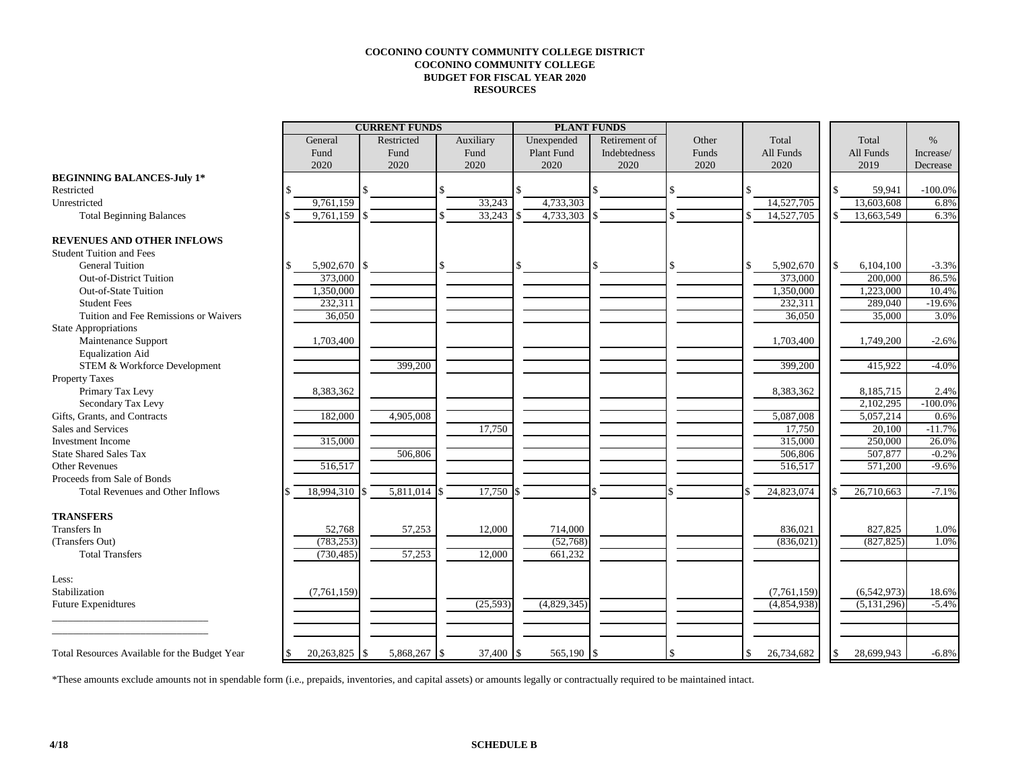## **COCONINO COUNTY COMMUNITY COLLEGE DISTRICT COCONINO COMMUNITY COLLEGE BUDGET FOR FISCAL YEAR 2020 RESOURCES**

|                                                     |               | <b>CURRENT FUNDS</b> |                       |             | <b>PLANT FUNDS</b> |       |                  |                 |            |
|-----------------------------------------------------|---------------|----------------------|-----------------------|-------------|--------------------|-------|------------------|-----------------|------------|
|                                                     | General       | Restricted           | Auxiliary             | Unexpended  | Retirement of      | Other | Total            | Total           | $\%$       |
|                                                     | Fund          | Fund                 | Fund                  | Plant Fund  | Indebtedness       | Funds | All Funds        | All Funds       | Increase/  |
|                                                     | 2020          | 2020                 | 2020                  | 2020        | 2020               | 2020  | 2020             | 2019            | Decrease   |
| <b>BEGINNING BALANCES-July 1*</b>                   |               |                      |                       |             |                    |       |                  |                 |            |
| Restricted                                          |               |                      |                       | \$          |                    |       | \$               | 59,941          | $-100.0\%$ |
| Unrestricted                                        | 9,761,159     |                      | 33,243                | 4,733,303   |                    |       | 14,527,705       | 13,603,608      | 6.8%       |
| <b>Total Beginning Balances</b>                     | 9,761,159     |                      | 33,243                | 4,733,303   |                    |       | 14,527,705       | 13,663,549      | 6.3%       |
|                                                     |               |                      |                       |             |                    |       |                  |                 |            |
| <b>REVENUES AND OTHER INFLOWS</b>                   |               |                      |                       |             |                    |       |                  |                 |            |
| <b>Student Tuition and Fees</b>                     |               |                      |                       |             |                    |       |                  |                 |            |
| <b>General Tuition</b>                              | 5,902,670     | $\mathbb{S}$         |                       | \$          |                    |       | \$<br>5,902,670  | \$<br>6,104,100 | $-3.3%$    |
| <b>Out-of-District Tuition</b>                      | 373,000       |                      |                       |             |                    |       | 373,000          | 200,000         | 86.5%      |
| Out-of-State Tuition                                | 1,350,000     |                      |                       |             |                    |       | 1,350,000        | 1,223,000       | 10.4%      |
| <b>Student Fees</b>                                 | 232,311       |                      |                       |             |                    |       | 232,311          | 289,040         | $-19.6%$   |
| Tuition and Fee Remissions or Waivers               | 36,050        |                      |                       |             |                    |       | 36,050           | 35,000          | 3.0%       |
| <b>State Appropriations</b>                         |               |                      |                       |             |                    |       |                  |                 |            |
| Maintenance Support                                 | 1,703,400     |                      |                       |             |                    |       | 1,703,400        | 1,749,200       | $-2.6%$    |
| <b>Equalization Aid</b>                             |               |                      |                       |             |                    |       |                  |                 |            |
| STEM & Workforce Development                        |               | 399,200              |                       |             |                    |       | 399,200          | 415,922         | $-4.0%$    |
| Property Taxes                                      |               |                      |                       |             |                    |       |                  |                 |            |
| Primary Tax Levy                                    | 8,383,362     |                      |                       |             |                    |       | 8,383,362        | 8,185,715       | 2.4%       |
| Secondary Tax Levy                                  |               |                      |                       |             |                    |       |                  | 2,102,295       | $-100.0%$  |
| Gifts, Grants, and Contracts                        | 182,000       | 4,905,008            |                       |             |                    |       | 5,087,008        | 5,057,214       | 0.6%       |
| Sales and Services                                  |               |                      | 17,750                |             |                    |       | 17,750           | 20,100          | $-11.7%$   |
| <b>Investment Income</b>                            | 315,000       |                      |                       |             |                    |       | 315,000          | 250,000         | 26.0%      |
| <b>State Shared Sales Tax</b>                       |               | 506,806              |                       |             |                    |       | 506,806          | 507,877         | $-0.2%$    |
| <b>Other Revenues</b>                               | 516,517       |                      |                       |             |                    |       | 516,517          | 571,200         | $-9.6%$    |
| Proceeds from Sale of Bonds                         |               |                      |                       |             |                    |       |                  |                 |            |
| <b>Total Revenues and Other Inflows</b>             | 18,994,310    | 5,811,014            | 17,750                |             |                    |       | 24,823,074       | 26,710,663      | $-7.1%$    |
|                                                     |               |                      |                       |             |                    |       |                  |                 |            |
| <b>TRANSFERS</b>                                    |               |                      |                       |             |                    |       |                  |                 |            |
| <b>Transfers</b> In                                 | 52,768        | 57,253               | 12,000                | 714,000     |                    |       | 836,021          | 827,825         | 1.0%       |
| (Transfers Out)                                     | (783, 253)    |                      |                       | (52,768)    |                    |       | (836, 021)       | (827, 825)      | 1.0%       |
| <b>Total Transfers</b>                              | (730, 485)    | 57,253               | 12,000                | 661.232     |                    |       |                  |                 |            |
|                                                     |               |                      |                       |             |                    |       |                  |                 |            |
| Less:                                               |               |                      |                       |             |                    |       |                  |                 |            |
| Stabilization                                       | (7,761,159)   |                      |                       |             |                    |       | (7,761,159)      | (6,542,973)     | 18.6%      |
| <b>Future Expenidtures</b>                          |               |                      | (25, 593)             | (4,829,345) |                    |       | (4,854,938)      | (5, 131, 296)   | $-5.4%$    |
|                                                     |               |                      |                       |             |                    |       |                  |                 |            |
|                                                     |               |                      |                       |             |                    |       |                  |                 |            |
|                                                     |               |                      |                       |             |                    |       |                  |                 |            |
| Total Resources Available for the Budget Year<br>\$ | 20,263,825 \$ | 5,868,267            | 37,400 \$<br><b>S</b> | 565,190 \$  |                    |       | 26,734,682<br>\$ | 28,699,943      | $-6.8%$    |

\*These amounts exclude amounts not in spendable form (i.e., prepaids, inventories, and capital assets) or amounts legally or contractually required to be maintained intact.